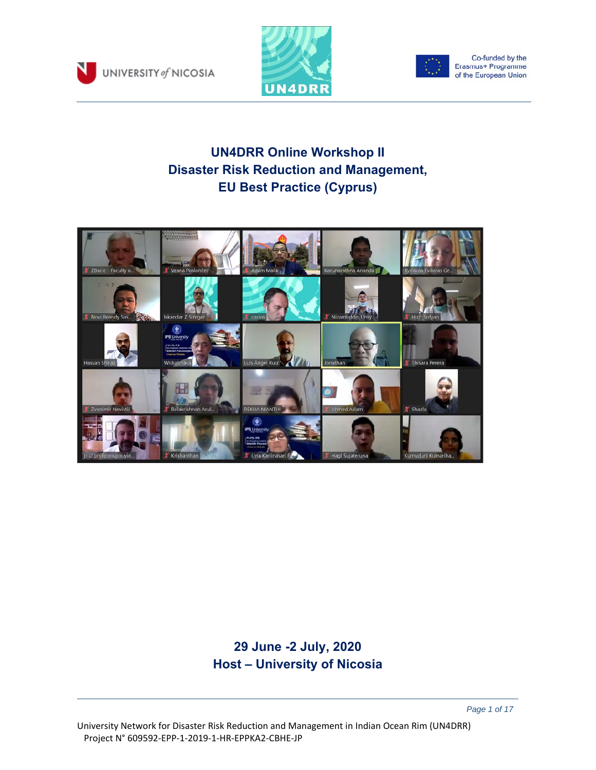





Co-funded by the<br>Erasmus+ Programme of the European Union

# **UN4DRR Online Workshop II Disaster Risk Reduction and Management, EU Best Practice (Cyprus)**



## **29 June -2 July, 2020 Host – University of Nicosia**

 *Page 1 of 17*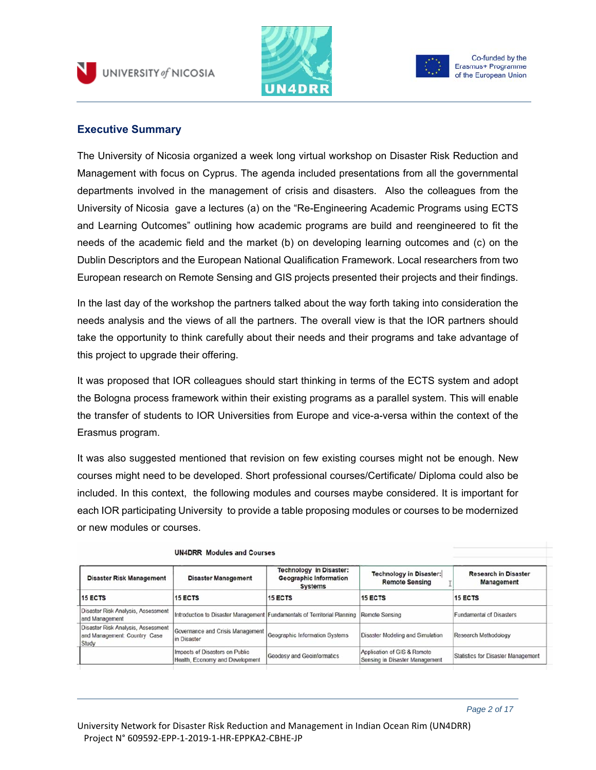





Co-funded by the Erasmus+ Programme of the European Union

### **Executive Summary**

The University of Nicosia organized a week long virtual workshop on Disaster Risk Reduction and Management with focus on Cyprus. The agenda included presentations from all the governmental departments involved in the management of crisis and disasters. Also the colleagues from the University of Nicosia gave a lectures (a) on the "Re-Engineering Academic Programs using ECTS and Learning Outcomes" outlining how academic programs are build and reengineered to fit the needs of the academic field and the market (b) on developing learning outcomes and (c) on the Dublin Descriptors and the European National Qualification Framework. Local researchers from two European research on Remote Sensing and GIS projects presented their projects and their findings.

In the last day of the workshop the partners talked about the way forth taking into consideration the needs analysis and the views of all the partners. The overall view is that the IOR partners should take the opportunity to think carefully about their needs and their programs and take advantage of this project to upgrade their offering.

It was proposed that IOR colleagues should start thinking in terms of the ECTS system and adopt the Bologna process framework within their existing programs as a parallel system. This will enable the transfer of students to IOR Universities from Europe and vice-a-versa within the context of the Erasmus program.

It was also suggested mentioned that revision on few existing courses might not be enough. New courses might need to be developed. Short professional courses/Certificate/ Diploma could also be included. In this context, the following modules and courses maybe considered. It is important for each IOR participating University to provide a table proposing modules or courses to be modernized or new modules or courses.

| <b>Disaster Risk Management</b>                                             | <b>Disaster Management</b>                                               | <b>Technology in Disaster:</b><br><b>Geographic Information</b><br><b>Systems</b> | <b>Technology in Disaster:</b><br><b>Remote Sensing</b>       | <b>Research in Disaster</b><br>Management |
|-----------------------------------------------------------------------------|--------------------------------------------------------------------------|-----------------------------------------------------------------------------------|---------------------------------------------------------------|-------------------------------------------|
| <b>15 ECTS</b>                                                              | 15 ECTS                                                                  | <b>15 ECTS</b>                                                                    | 15 ECTS                                                       | <b>15 ECTS</b>                            |
| Disaster Risk Analysis, Assessment<br>and Management                        | Introduction to Disaster Management Fundamentals of Territorial Planning |                                                                                   | Remote Sensing                                                | <b>Fundamental of Disasters</b>           |
| Disaster Risk Analysis, Assessment<br>and Management: Country Case<br>Study | Governance and Crisis Management<br>lin Disaster                         | Geographic Information Systems                                                    | Disaster Modeling and Simulation                              | Research Methodology                      |
|                                                                             | Impacts of Disasters on Public<br>Health, Economy and Development        | <b>Geodesy and Geoinformatics</b>                                                 | Application of GIS & Remote<br>Sensing in Disaster Management | Statistics for Disaster Management        |

#### **UN4DRR** Modules and Courses

 *Page 2 of 17*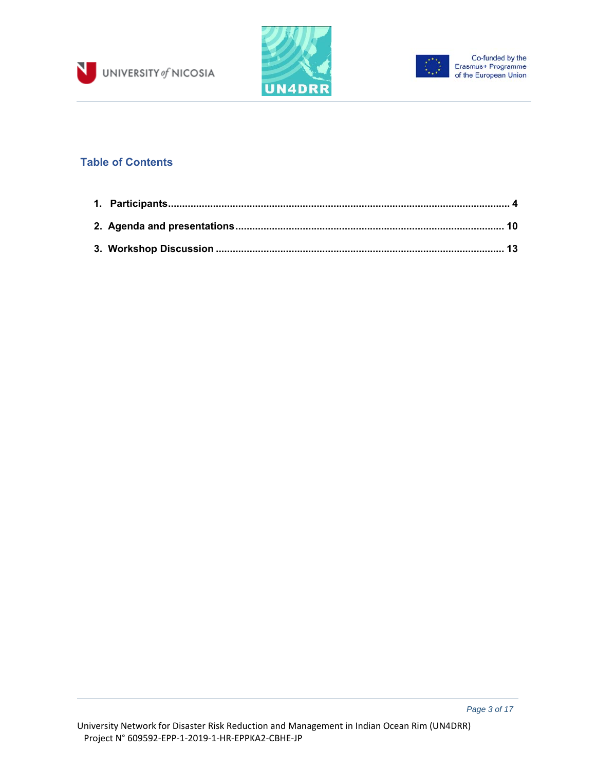





## **Table of Contents**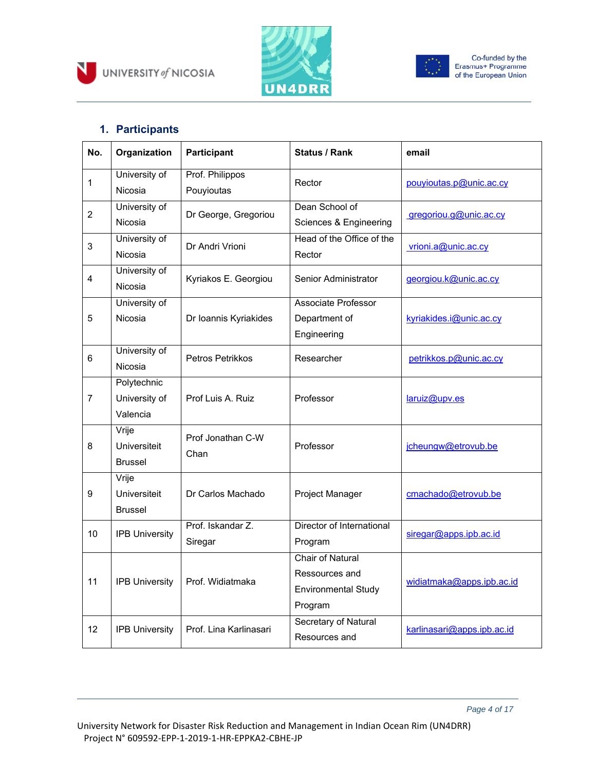





## **1. Participants**

N

| No.            | Organization             | Participant                   | <b>Status / Rank</b>                     | email                      |  |
|----------------|--------------------------|-------------------------------|------------------------------------------|----------------------------|--|
| 1              | University of<br>Nicosia | Prof. Philippos<br>Pouyioutas | Rector                                   | pouvioutas.p@unic.ac.cy    |  |
| $\overline{2}$ | University of<br>Nicosia | Dr George, Gregoriou          | Dean School of<br>Sciences & Engineering | gregoriou.g@unic.ac.cy     |  |
| 3              | University of<br>Nicosia | Dr Andri Vrioni               | Head of the Office of the<br>Rector      | vrioni.a@unic.ac.cy        |  |
| 4              | University of<br>Nicosia | Kyriakos E. Georgiou          | Senior Administrator                     | georgiou.k@unic.ac.cy      |  |
|                | University of            |                               | <b>Associate Professor</b>               |                            |  |
| 5              | Nicosia                  | Dr Ioannis Kyriakides         | Department of                            | kyriakides.i@unic.ac.cy    |  |
|                |                          |                               | Engineering                              |                            |  |
| 6              | University of            | Petros Petrikkos              | Researcher                               | petrikkos.p@unic.ac.cy     |  |
| Nicosia        |                          |                               |                                          |                            |  |
|                | Polytechnic              |                               |                                          |                            |  |
| $\overline{7}$ | University of            | Prof Luis A. Ruiz             | Professor                                | laruiz@upv.es              |  |
|                | Valencia                 |                               |                                          |                            |  |
|                | Vrije                    | Prof Jonathan C-W             |                                          |                            |  |
| 8              | Universiteit             | Chan                          | Professor                                | jcheungw@etrovub.be        |  |
|                | <b>Brussel</b>           |                               |                                          |                            |  |
|                | Vrije                    |                               |                                          |                            |  |
| 9              | Universiteit             | Dr Carlos Machado             | Project Manager                          | cmachado@etrovub.be        |  |
|                | <b>Brussel</b>           |                               |                                          |                            |  |
| 10             | <b>IPB University</b>    | Prof. Iskandar Z.             | Director of International                | siregar@apps.ipb.ac.id     |  |
|                |                          | Siregar                       | Program                                  |                            |  |
|                |                          |                               | Chair of Natural                         |                            |  |
| 11             |                          |                               | Ressources and                           | widiatmaka@apps.ipb.ac.id  |  |
|                | <b>IPB University</b>    | Prof. Widiatmaka              | <b>Environmental Study</b>               |                            |  |
|                |                          |                               | Program                                  |                            |  |
| 12             | <b>IPB University</b>    | Prof. Lina Karlinasari        | Secretary of Natural                     | karlinasari@apps.ipb.ac.id |  |
|                |                          |                               | Resources and                            |                            |  |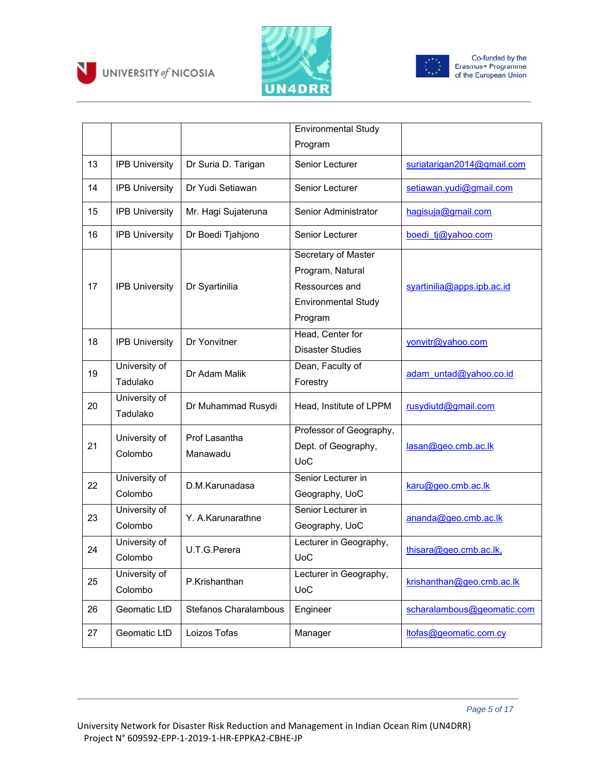





|    |                           |                           | Environmental Study                                                                                |                            |
|----|---------------------------|---------------------------|----------------------------------------------------------------------------------------------------|----------------------------|
|    |                           |                           | Program                                                                                            |                            |
| 13 | <b>IPB University</b>     | Dr Suria D. Tarigan       | Senior Lecturer                                                                                    | suriatarigan2014@gmail.com |
| 14 | <b>IPB University</b>     | Dr Yudi Setiawan          | Senior Lecturer                                                                                    | setiawan.yudi@gmail.com    |
| 15 | <b>IPB University</b>     | Mr. Hagi Sujateruna       | Senior Administrator                                                                               | hagisuja@gmail.com         |
| 16 | <b>IPB University</b>     | Dr Boedi Tjahjono         | <b>Senior Lecturer</b>                                                                             | boedi tj@yahoo.com         |
| 17 | <b>IPB University</b>     | Dr Syartinilia            | Secretary of Master<br>Program, Natural<br>Ressources and<br><b>Environmental Study</b><br>Program | syartinilia@apps.ipb.ac.id |
| 18 | <b>IPB University</b>     | Dr Yonvitner              | Head, Center for<br><b>Disaster Studies</b>                                                        | yonvitr@yahoo.com          |
| 19 | University of<br>Tadulako | Dr Adam Malik             | Dean, Faculty of<br>Forestry                                                                       | adam untad@yahoo.co.id     |
| 20 | University of<br>Tadulako | Dr Muhammad Rusydi        | Head, Institute of LPPM                                                                            | rusydiutd@gmail.com        |
| 21 | University of<br>Colombo  | Prof Lasantha<br>Manawadu | Professor of Geography,<br>Dept. of Geography,<br><b>UoC</b>                                       | lasan@geo.cmb.ac.lk        |
| 22 | University of<br>Colombo  | D.M.Karunadasa            | Senior Lecturer in<br>Geography, UoC                                                               | karu@geo.cmb.ac.lk         |
| 23 | University of<br>Colombo  | Y. A.Karunarathne         | Senior Lecturer in<br>Geography, UoC                                                               | ananda@geo.cmb.ac.lk       |
| 24 | University of<br>Colombo  | U.T.G.Perera              | Lecturer in Geography,<br><b>UoC</b>                                                               | thisara@geo.cmb.ac.lk,     |
| 25 | University of<br>Colombo  | P.Krishanthan             | Lecturer in Geography,<br><b>UoC</b>                                                               | krishanthan@geo.cmb.ac.lk  |
| 26 | Geomatic LtD              | Stefanos Charalambous     | Engineer                                                                                           | scharalambous@geomatic.com |
| 27 | Geomatic LtD              | Loizos Tofas              | Manager                                                                                            | ltofas@geomatic.com.cy     |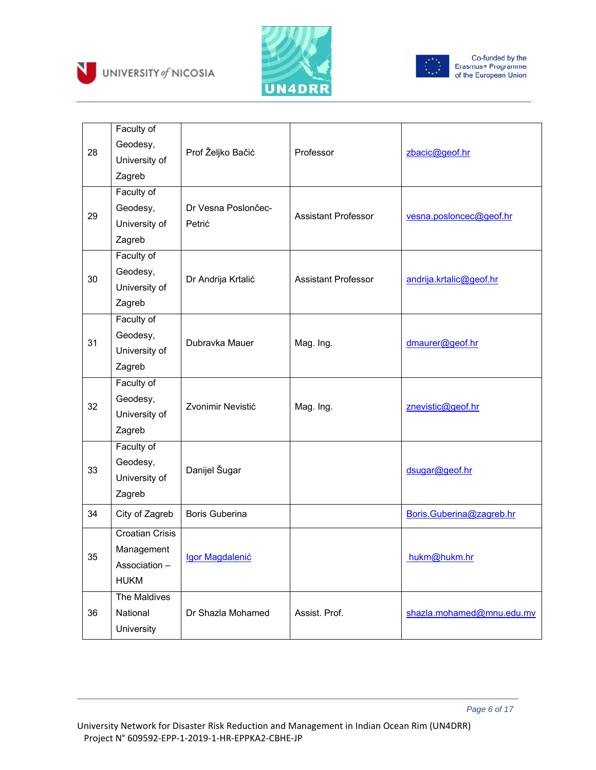





| 28 | Faculty of<br>Geodesy,<br>University of<br>Zagreb                   | Prof Željko Bačić             | Professor                  | zbacic@geof.hr            |
|----|---------------------------------------------------------------------|-------------------------------|----------------------------|---------------------------|
| 29 | Faculty of<br>Geodesy,<br>University of<br>Zagreb                   | Dr Vesna Poslončec-<br>Petrić | <b>Assistant Professor</b> | vesna.posloncec@geof.hr   |
| 30 | Faculty of<br>Geodesy,<br>University of<br>Zagreb                   | Dr Andrija Krtalić            | <b>Assistant Professor</b> | andrija.krtalic@geof.hr   |
| 31 | Faculty of<br>Geodesy,<br>University of<br>Zagreb                   | Dubravka Mauer                | Mag. Ing.                  | dmaurer@geof.hr           |
| 32 | Faculty of<br>Geodesy,<br>University of<br>Zagreb                   | Zvonimir Nevistić             | Mag. Ing.                  | znevistic@geof.hr         |
| 33 | Faculty of<br>Geodesy,<br>University of<br>Zagreb                   | Danijel Šugar                 |                            | dsugar@geof.hr            |
| 34 | City of Zagreb                                                      | <b>Boris Guberina</b>         |                            | Boris.Guberina@zagreb.hr  |
| 35 | <b>Croatian Crisis</b><br>Management<br>Association-<br><b>HUKM</b> | Igor Magdalenić               |                            | hukm@hukm/hr              |
| 36 | The Maldives<br>National<br>University                              | Dr Shazla Mohamed             | Assist. Prof.              | shazla.mohamed@mnu.edu.mv |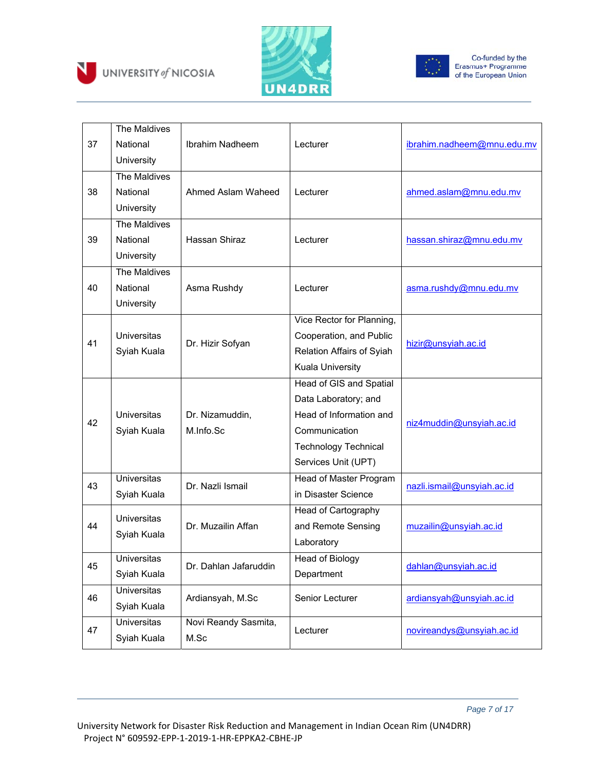





|    | The Maldives                      |                       |                             |                            |  |
|----|-----------------------------------|-----------------------|-----------------------------|----------------------------|--|
| 37 | National                          | Ibrahim Nadheem       | Lecturer                    | ibrahim.nadheem@mnu.edu.mv |  |
|    | University                        |                       |                             |                            |  |
|    | The Maldives                      |                       |                             |                            |  |
| 38 | National                          | Ahmed Aslam Waheed    | Lecturer                    | ahmed.aslam@mnu.edu.mv     |  |
|    | University                        |                       |                             |                            |  |
|    | The Maldives                      |                       |                             |                            |  |
| 39 | National                          | Hassan Shiraz         | Lecturer                    | hassan.shiraz@mnu.edu.mv   |  |
|    | University                        |                       |                             |                            |  |
|    | The Maldives                      |                       |                             |                            |  |
| 40 | National                          | Asma Rushdy           | Lecturer                    | asma.rushdy@mnu.edu.mv     |  |
|    | University                        |                       |                             |                            |  |
|    |                                   |                       | Vice Rector for Planning,   |                            |  |
|    | <b>Universitas</b><br>Syiah Kuala | Dr. Hizir Sofyan      | Cooperation, and Public     | hizir@unsyiah.ac.id        |  |
| 41 |                                   |                       | Relation Affairs of Syiah   |                            |  |
|    |                                   |                       | Kuala University            |                            |  |
|    |                                   |                       | Head of GIS and Spatial     |                            |  |
|    |                                   |                       | Data Laboratory; and        | niz4muddin@unsyiah.ac.id   |  |
|    | <b>Universitas</b>                | Dr. Nizamuddin,       | Head of Information and     |                            |  |
| 42 | Syiah Kuala                       | M.Info.Sc             | Communication               |                            |  |
|    |                                   |                       | <b>Technology Technical</b> |                            |  |
|    |                                   |                       | Services Unit (UPT)         |                            |  |
| 43 | <b>Universitas</b>                | Dr. Nazli Ismail      | Head of Master Program      |                            |  |
|    | Syiah Kuala                       |                       | in Disaster Science         | nazli.ismail@unsyiah.ac.id |  |
|    | <b>Universitas</b>                |                       | Head of Cartography         |                            |  |
| 44 | Syiah Kuala                       | Dr. Muzailin Affan    | and Remote Sensing          | muzailin@unsyiah.ac.id     |  |
|    |                                   |                       | Laboratory                  |                            |  |
| 45 | Universitas                       | Dr. Dahlan Jafaruddin | Head of Biology             | dahlan@unsyiah.ac.id       |  |
|    | Syiah Kuala                       |                       | Department                  |                            |  |
| 46 | <b>Universitas</b>                | Ardiansyah, M.Sc      | Senior Lecturer             | ardiansyah@unsyiah.ac.id   |  |
|    | Syiah Kuala                       |                       |                             |                            |  |
|    | <b>Universitas</b>                | Novi Reandy Sasmita,  | Lecturer                    | novireandys@unsyiah.ac.id  |  |
| 47 | Syiah Kuala                       | M.Sc                  |                             |                            |  |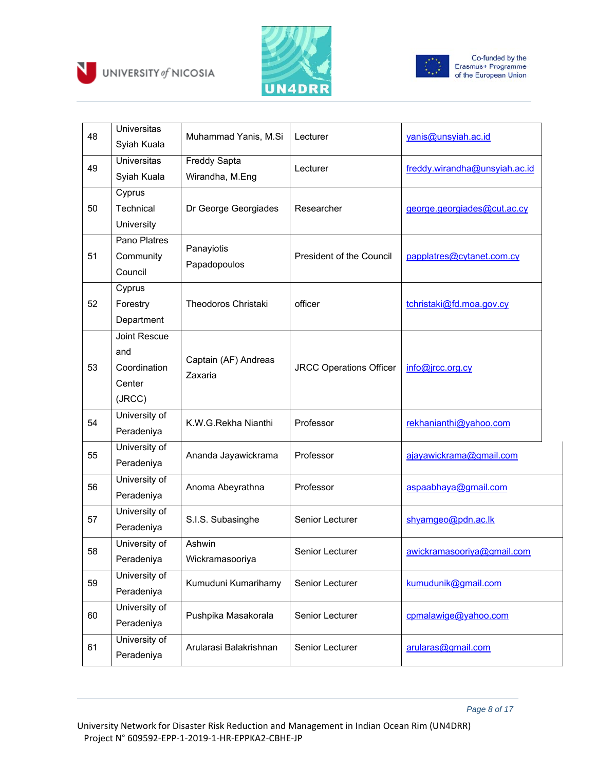





| 48 | <b>Universitas</b><br>Syiah Kuala                              | Muhammad Yanis, M.Si                   | Lecturer                       | yanis@unsyiah.ac.id           |
|----|----------------------------------------------------------------|----------------------------------------|--------------------------------|-------------------------------|
| 49 | <b>Universitas</b><br>Syiah Kuala                              | <b>Freddy Sapta</b><br>Wirandha, M.Eng | Lecturer                       | freddy.wirandha@unsyiah.ac.id |
| 50 | Cyprus<br>Technical<br>University                              | Dr George Georgiades                   | Researcher                     | george.georgiades@cut.ac.cy   |
| 51 | Pano Platres<br>Community<br>Council                           | Panayiotis<br>Papadopoulos             | President of the Council       | papplatres@cytanet.com.cy     |
| 52 | Cyprus<br>Forestry<br>Department                               | <b>Theodoros Christaki</b>             | officer                        | tchristaki@fd.moa.gov.cy      |
| 53 | <b>Joint Rescue</b><br>and<br>Coordination<br>Center<br>(JRCC) | Captain (AF) Andreas<br>Zaxaria        | <b>JRCC Operations Officer</b> | info@jrcc.org.cy              |
| 54 | University of<br>Peradeniya                                    | K.W.G.Rekha Nianthi                    | Professor                      | rekhanianthi@yahoo.com        |
| 55 | University of<br>Peradeniya                                    | Ananda Jayawickrama                    | Professor                      | ajayawickrama@gmail.com       |
| 56 | University of<br>Peradeniya                                    | Anoma Abeyrathna                       | Professor                      | aspaabhaya@gmail.com          |
| 57 | University of<br>Peradeniya                                    | S.I.S. Subasinghe                      | Senior Lecturer                | shyamgeo@pdn.ac.lk            |
| 58 | University of<br>Peradeniya                                    | Ashwin<br>Wickramasooriya              | Senior Lecturer                | awickramasooriya@gmail.com    |
| 59 | University of<br>Peradeniya                                    | Kumuduni Kumarihamy                    | Senior Lecturer                | kumudunik@gmail.com           |
| 60 | University of<br>Peradeniya                                    | Pushpika Masakorala                    | Senior Lecturer                | cpmalawige@yahoo.com          |
| 61 | University of<br>Peradeniya                                    | Arularasi Balakrishnan                 | Senior Lecturer                | arularas@gmail.com            |

 *Page 8 of 17*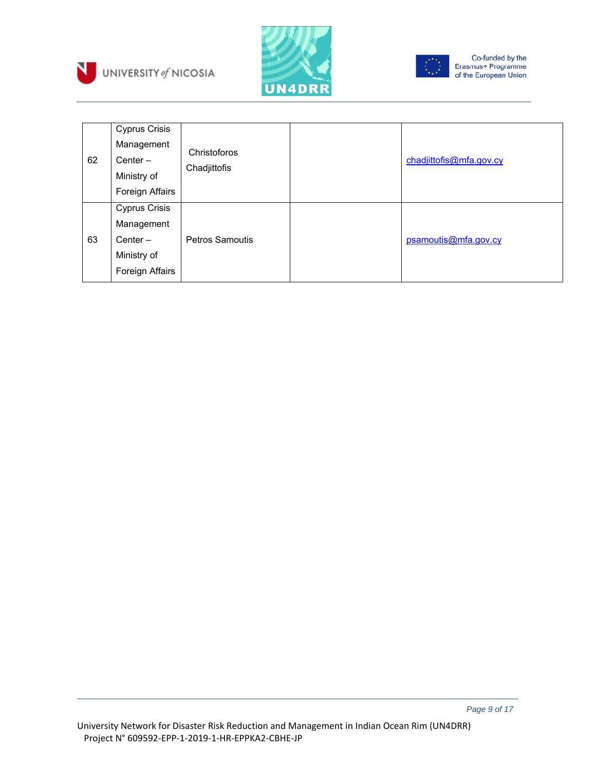





Co-funded by the<br>Erasmus+ Programme<br>of the European Union

| 62 | <b>Cyprus Crisis</b><br>Management<br>Center $-$<br>Ministry of<br>Foreign Affairs | Christoforos<br>Chadjittofis | chadjittofis@mfa.gov.cy |
|----|------------------------------------------------------------------------------------|------------------------------|-------------------------|
| 63 | <b>Cyprus Crisis</b><br>Management<br>Center $-$<br>Ministry of<br>Foreign Affairs | <b>Petros Samoutis</b>       | psamoutis@mfa.gov.cy    |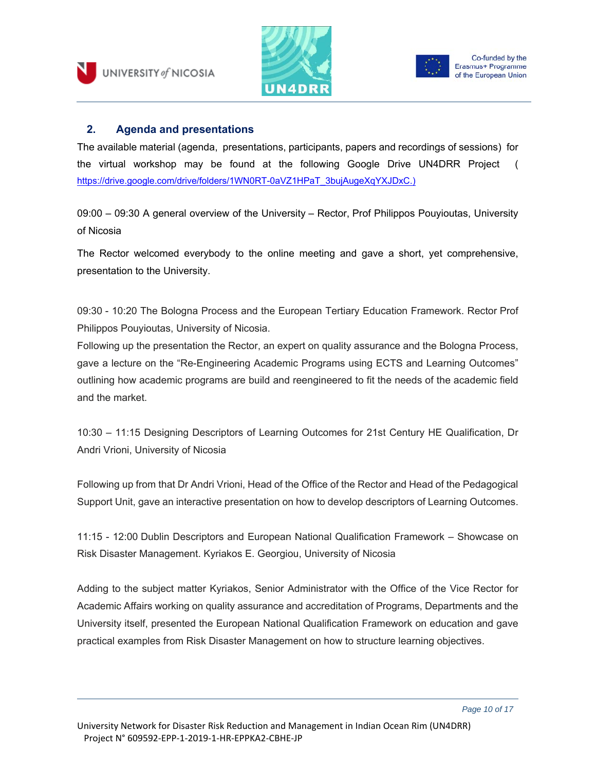



### **2. Agenda and presentations**

The available material (agenda, presentations, participants, papers and recordings of sessions) for the virtual workshop may be found at the following Google Drive UN4DRR Project ( https://drive.google.com/drive/folders/1WN0RT-0aVZ1HPaT\_3bujAugeXqYXJDxC.)

09:00 – 09:30 A general overview of the University – Rector, Prof Philippos Pouyioutas, University of Nicosia

The Rector welcomed everybody to the online meeting and gave a short, yet comprehensive, presentation to the University.

09:30 - 10:20 The Bologna Process and the European Tertiary Education Framework. Rector Prof Philippos Pouyioutas, University of Nicosia.

Following up the presentation the Rector, an expert on quality assurance and the Bologna Process, gave a lecture on the "Re-Engineering Academic Programs using ECTS and Learning Outcomes" outlining how academic programs are build and reengineered to fit the needs of the academic field and the market.

10:30 – 11:15 Designing Descriptors of Learning Outcomes for 21st Century HE Qualification, Dr Andri Vrioni, University of Nicosia

Following up from that Dr Andri Vrioni, Head of the Office of the Rector and Head of the Pedagogical Support Unit, gave an interactive presentation on how to develop descriptors of Learning Outcomes.

11:15 - 12:00 Dublin Descriptors and European National Qualification Framework – Showcase on Risk Disaster Management. Kyriakos E. Georgiou, University of Nicosia

Adding to the subject matter Kyriakos, Senior Administrator with the Office of the Vice Rector for Academic Affairs working on quality assurance and accreditation of Programs, Departments and the University itself, presented the European National Qualification Framework on education and gave practical examples from Risk Disaster Management on how to structure learning objectives.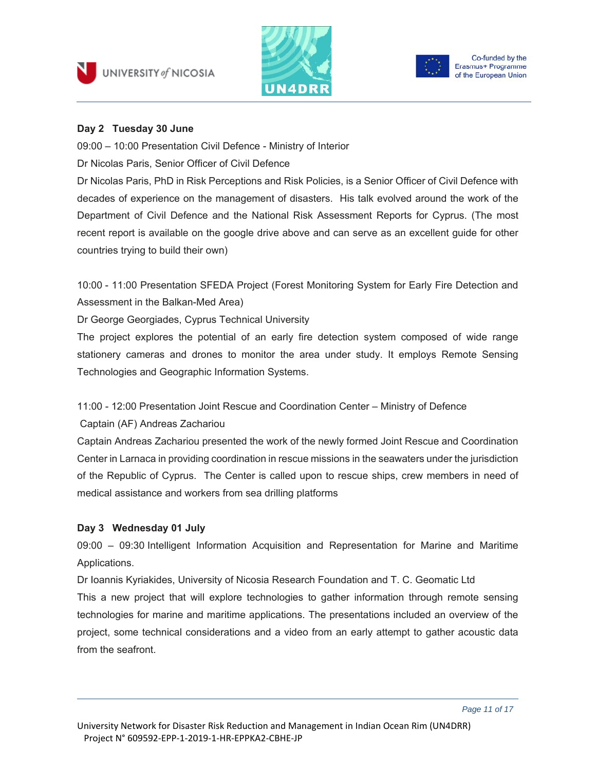



#### **Day 2 Tuesday 30 June**

09:00 – 10:00 Presentation Civil Defence - Ministry of Interior

Dr Nicolas Paris, Senior Officer of Civil Defence

Dr Nicolas Paris, PhD in Risk Perceptions and Risk Policies, is a Senior Officer of Civil Defence with decades of experience on the management of disasters. His talk evolved around the work of the Department of Civil Defence and the National Risk Assessment Reports for Cyprus. (The most recent report is available on the google drive above and can serve as an excellent guide for other countries trying to build their own)

10:00 - 11:00 Presentation SFEDA Project (Forest Monitoring System for Early Fire Detection and Assessment in the Balkan-Med Area)

Dr George Georgiades, Cyprus Technical University

The project explores the potential of an early fire detection system composed of wide range stationery cameras and drones to monitor the area under study. It employs Remote Sensing Technologies and Geographic Information Systems.

11:00 - 12:00 Presentation Joint Rescue and Coordination Center – Ministry of Defence

Captain (AF) Andreas Zachariou

Captain Andreas Zachariou presented the work of the newly formed Joint Rescue and Coordination Center in Larnaca in providing coordination in rescue missions in the seawaters under the jurisdiction of the Republic of Cyprus. The Center is called upon to rescue ships, crew members in need of medical assistance and workers from sea drilling platforms

#### **Day 3 Wednesday 01 July**

09:00 – 09:30 Intelligent Information Acquisition and Representation for Marine and Maritime Applications.

Dr Ioannis Kyriakides, University of Nicosia Research Foundation and T. C. Geomatic Ltd This a new project that will explore technologies to gather information through remote sensing technologies for marine and maritime applications. The presentations included an overview of the project, some technical considerations and a video from an early attempt to gather acoustic data from the seafront.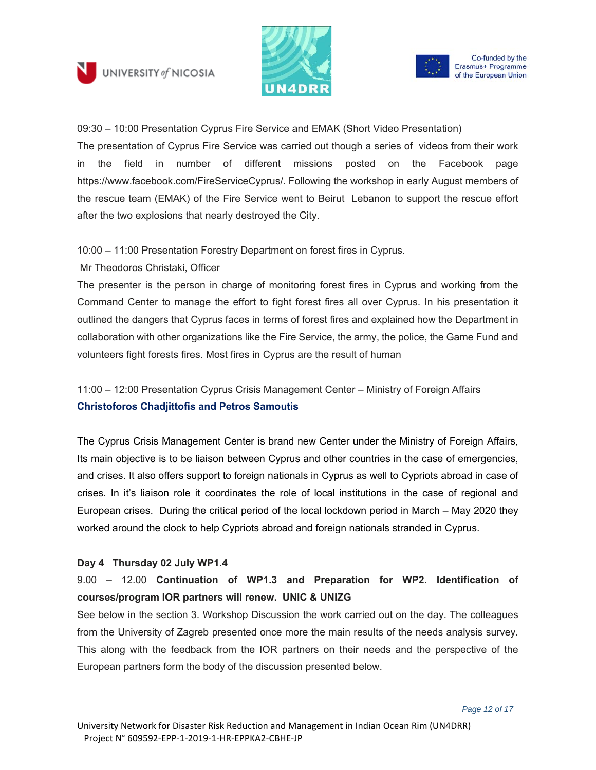



09:30 – 10:00 Presentation Cyprus Fire Service and EMAK (Short Video Presentation) The presentation of Cyprus Fire Service was carried out though a series of videos from their work in the field in number of different missions posted on the Facebook page https://www.facebook.com/FireServiceCyprus/. Following the workshop in early August members of the rescue team (EMAK) of the Fire Service went to Beirut Lebanon to support the rescue effort after the two explosions that nearly destroyed the City.

#### 10:00 – 11:00 Presentation Forestry Department on forest fires in Cyprus.

Mr Theodoros Christaki, Officer

The presenter is the person in charge of monitoring forest fires in Cyprus and working from the Command Center to manage the effort to fight forest fires all over Cyprus. In his presentation it outlined the dangers that Cyprus faces in terms of forest fires and explained how the Department in collaboration with other organizations like the Fire Service, the army, the police, the Game Fund and volunteers fight forests fires. Most fires in Cyprus are the result of human

11:00 – 12:00 Presentation Cyprus Crisis Management Center – Ministry of Foreign Affairs **Christoforos Chadjittofis and Petros Samoutis** 

The Cyprus Crisis Management Center is brand new Center under the Ministry of Foreign Affairs, Its main objective is to be liaison between Cyprus and other countries in the case of emergencies, and crises. It also offers support to foreign nationals in Cyprus as well to Cypriots abroad in case of crises. In it's liaison role it coordinates the role of local institutions in the case of regional and European crises. During the critical period of the local lockdown period in March – May 2020 they worked around the clock to help Cypriots abroad and foreign nationals stranded in Cyprus.

#### **Day 4 Thursday 02 July WP1.4**

## 9.00 – 12.00 **Continuation of WP1.3 and Preparation for WP2. Identification of courses/program IOR partners will renew. UNIC & UNIZG**

See below in the section 3. Workshop Discussion the work carried out on the day. The colleagues from the University of Zagreb presented once more the main results of the needs analysis survey. This along with the feedback from the IOR partners on their needs and the perspective of the European partners form the body of the discussion presented below.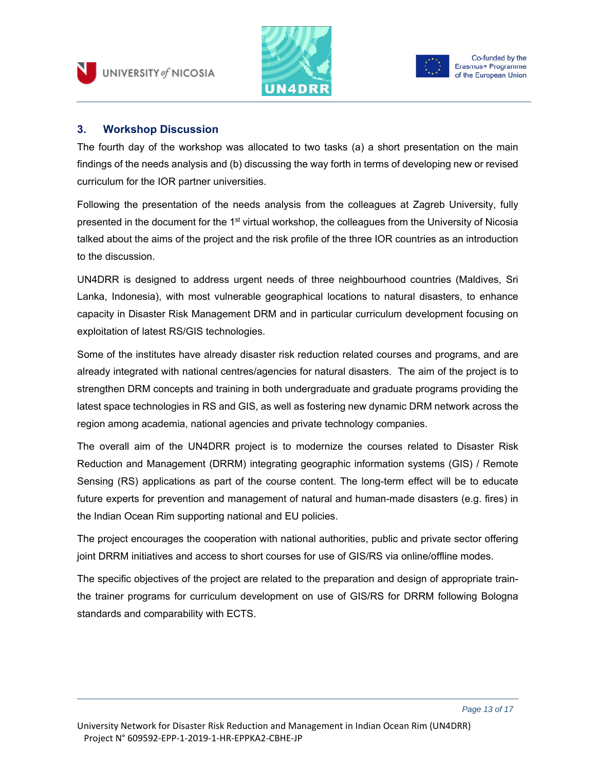



**3. Workshop Discussion** 

The fourth day of the workshop was allocated to two tasks (a) a short presentation on the main findings of the needs analysis and (b) discussing the way forth in terms of developing new or revised curriculum for the IOR partner universities.

Following the presentation of the needs analysis from the colleagues at Zagreb University, fully presented in the document for the 1<sup>st</sup> virtual workshop, the colleagues from the University of Nicosia talked about the aims of the project and the risk profile of the three IOR countries as an introduction to the discussion.

UN4DRR is designed to address urgent needs of three neighbourhood countries (Maldives, Sri Lanka, Indonesia), with most vulnerable geographical locations to natural disasters, to enhance capacity in Disaster Risk Management DRM and in particular curriculum development focusing on exploitation of latest RS/GIS technologies.

Some of the institutes have already disaster risk reduction related courses and programs, and are already integrated with national centres/agencies for natural disasters. The aim of the project is to strengthen DRM concepts and training in both undergraduate and graduate programs providing the latest space technologies in RS and GIS, as well as fostering new dynamic DRM network across the region among academia, national agencies and private technology companies.

The overall aim of the UN4DRR project is to modernize the courses related to Disaster Risk Reduction and Management (DRRM) integrating geographic information systems (GIS) / Remote Sensing (RS) applications as part of the course content. The long-term effect will be to educate future experts for prevention and management of natural and human-made disasters (e.g. fires) in the Indian Ocean Rim supporting national and EU policies.

The project encourages the cooperation with national authorities, public and private sector offering joint DRRM initiatives and access to short courses for use of GIS/RS via online/offline modes.

The specific objectives of the project are related to the preparation and design of appropriate trainthe trainer programs for curriculum development on use of GIS/RS for DRRM following Bologna standards and comparability with ECTS.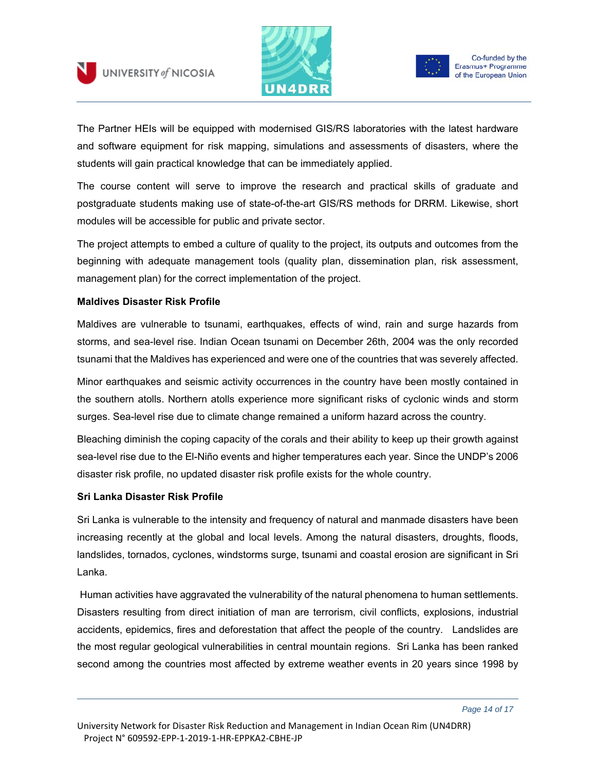



The Partner HEIs will be equipped with modernised GIS/RS laboratories with the latest hardware and software equipment for risk mapping, simulations and assessments of disasters, where the students will gain practical knowledge that can be immediately applied.

The course content will serve to improve the research and practical skills of graduate and postgraduate students making use of state-of-the-art GIS/RS methods for DRRM. Likewise, short modules will be accessible for public and private sector.

The project attempts to embed a culture of quality to the project, its outputs and outcomes from the beginning with adequate management tools (quality plan, dissemination plan, risk assessment, management plan) for the correct implementation of the project.

#### **Maldives Disaster Risk Profile**

Maldives are vulnerable to tsunami, earthquakes, effects of wind, rain and surge hazards from storms, and sea-level rise. Indian Ocean tsunami on December 26th, 2004 was the only recorded tsunami that the Maldives has experienced and were one of the countries that was severely affected.

Minor earthquakes and seismic activity occurrences in the country have been mostly contained in the southern atolls. Northern atolls experience more significant risks of cyclonic winds and storm surges. Sea-level rise due to climate change remained a uniform hazard across the country.

Bleaching diminish the coping capacity of the corals and their ability to keep up their growth against sea-level rise due to the El-Niño events and higher temperatures each year. Since the UNDP's 2006 disaster risk profile, no updated disaster risk profile exists for the whole country.

#### **Sri Lanka Disaster Risk Profile**

Sri Lanka is vulnerable to the intensity and frequency of natural and manmade disasters have been increasing recently at the global and local levels. Among the natural disasters, droughts, floods, landslides, tornados, cyclones, windstorms surge, tsunami and coastal erosion are significant in Sri Lanka.

 Human activities have aggravated the vulnerability of the natural phenomena to human settlements. Disasters resulting from direct initiation of man are terrorism, civil conflicts, explosions, industrial accidents, epidemics, fires and deforestation that affect the people of the country. Landslides are the most regular geological vulnerabilities in central mountain regions. Sri Lanka has been ranked second among the countries most affected by extreme weather events in 20 years since 1998 by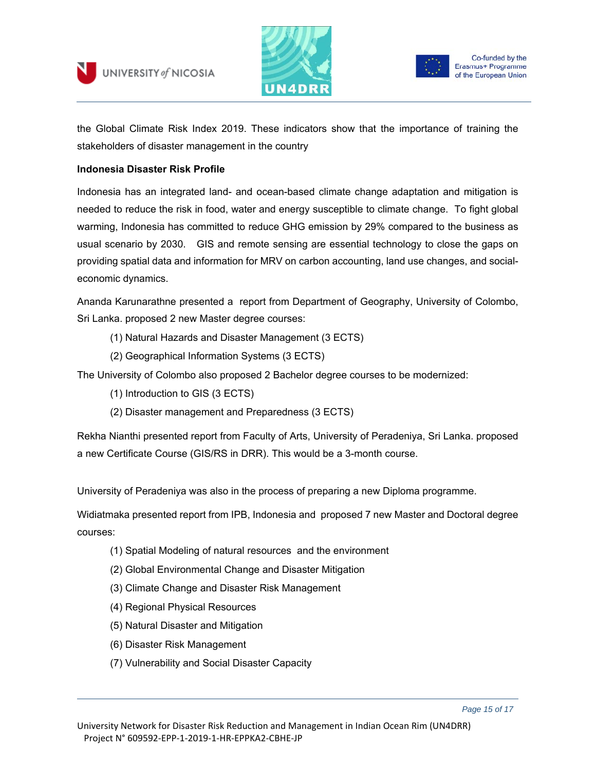



the Global Climate Risk Index 2019. These indicators show that the importance of training the stakeholders of disaster management in the country

#### **Indonesia Disaster Risk Profile**

Indonesia has an integrated land- and ocean-based climate change adaptation and mitigation is needed to reduce the risk in food, water and energy susceptible to climate change. To fight global warming, Indonesia has committed to reduce GHG emission by 29% compared to the business as usual scenario by 2030. GIS and remote sensing are essential technology to close the gaps on providing spatial data and information for MRV on carbon accounting, land use changes, and socialeconomic dynamics.

Ananda Karunarathne presented a report from Department of Geography, University of Colombo, Sri Lanka. proposed 2 new Master degree courses:

- (1) Natural Hazards and Disaster Management (3 ECTS)
- (2) Geographical Information Systems (3 ECTS)

The University of Colombo also proposed 2 Bachelor degree courses to be modernized:

- (1) Introduction to GIS (3 ECTS)
- (2) Disaster management and Preparedness (3 ECTS)

Rekha Nianthi presented report from Faculty of Arts, University of Peradeniya, Sri Lanka. proposed a new Certificate Course (GIS/RS in DRR). This would be a 3-month course.

University of Peradeniya was also in the process of preparing a new Diploma programme.

Widiatmaka presented report from IPB, Indonesia and proposed 7 new Master and Doctoral degree courses:

- (1) Spatial Modeling of natural resources and the environment
- (2) Global Environmental Change and Disaster Mitigation
- (3) Climate Change and Disaster Risk Management
- (4) Regional Physical Resources
- (5) Natural Disaster and Mitigation
- (6) Disaster Risk Management
- (7) Vulnerability and Social Disaster Capacity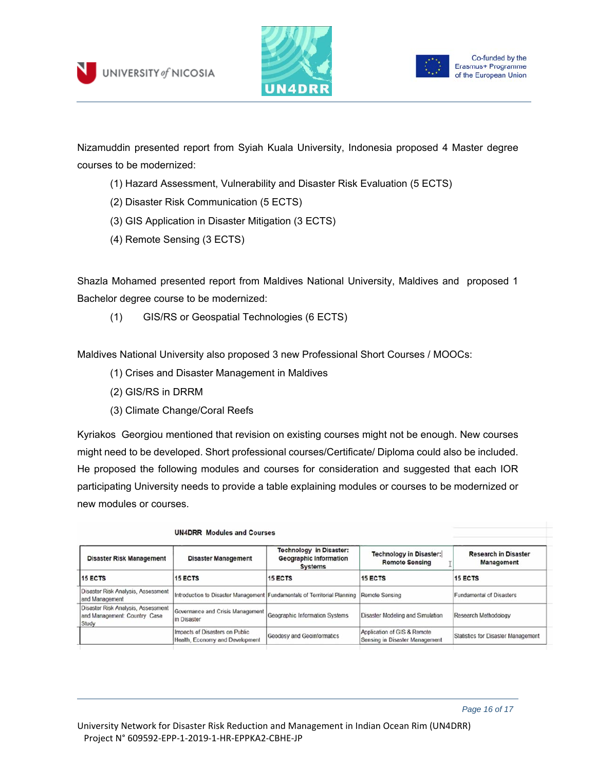



Nizamuddin presented report from Syiah Kuala University, Indonesia proposed 4 Master degree courses to be modernized:

- (1) Hazard Assessment, Vulnerability and Disaster Risk Evaluation (5 ECTS)
- (2) Disaster Risk Communication (5 ECTS)
- (3) GIS Application in Disaster Mitigation (3 ECTS)
- (4) Remote Sensing (3 ECTS)

Shazla Mohamed presented report from Maldives National University, Maldives and proposed 1 Bachelor degree course to be modernized:

(1) GIS/RS or Geospatial Technologies (6 ECTS)

Maldives National University also proposed 3 new Professional Short Courses / MOOCs:

- (1) Crises and Disaster Management in Maldives
- (2) GIS/RS in DRRM
- (3) Climate Change/Coral Reefs

Kyriakos Georgiou mentioned that revision on existing courses might not be enough. New courses might need to be developed. Short professional courses/Certificate/ Diploma could also be included. He proposed the following modules and courses for consideration and suggested that each IOR participating University needs to provide a table explaining modules or courses to be modernized or new modules or courses.

| <b>UN4DRR</b> Modules and Courses                                           |                                                                          |                                                                                   |                                                               |                                           |  |
|-----------------------------------------------------------------------------|--------------------------------------------------------------------------|-----------------------------------------------------------------------------------|---------------------------------------------------------------|-------------------------------------------|--|
| <b>Disaster Risk Management</b>                                             | <b>Disaster Management</b>                                               | <b>Technology in Disaster:</b><br><b>Geographic Information</b><br><b>Systems</b> | <b>Technology in Disaster:</b><br><b>Remote Sensing</b>       | <b>Research in Disaster</b><br>Management |  |
| <b>15 ECTS</b>                                                              | <b>15 ECTS</b>                                                           | <b>15 ECTS</b>                                                                    | <b>15 ECTS</b>                                                | <b>15 ECTS</b>                            |  |
| Disaster Risk Analysis, Assessment<br>and Management                        | Introduction to Disaster Management Fundamentals of Territorial Planning |                                                                                   | Remote Sensing                                                | <b>Fundamental of Disasters</b>           |  |
| Disaster Risk Analysis, Assessment<br>and Management: Country Case<br>Study | Governance and Crisis Management<br>in Disaster                          | Geographic Information Systems                                                    | Disaster Modeling and Simulation                              | <b>Research Methodology</b>               |  |
|                                                                             | Impacts of Disasters on Public<br>Health, Economy and Development        | <b>Geodesy and Geoinformatics</b>                                                 | Application of GIS & Remote<br>Sensing in Disaster Management | Statistics for Disaster Management        |  |